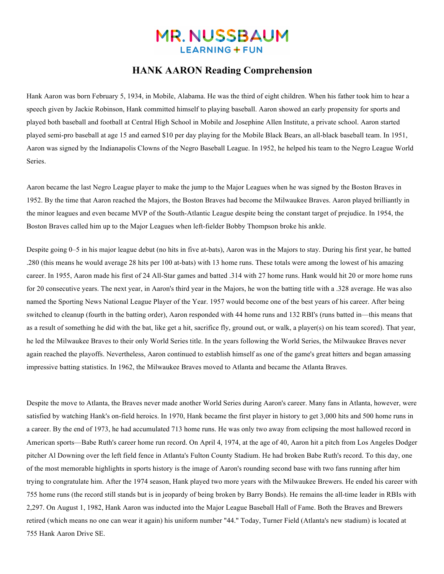# **MR. NUSSBAUM LEARNING + FUN**

#### **HANK AARON Reading Comprehension**

Hank Aaron was born February 5, 1934, in Mobile, Alabama. He was the third of eight children. When his father took him to hear a speech given by Jackie Robinson, Hank committed himself to playing baseball. Aaron showed an early propensity for sports and played both baseball and football at Central High School in Mobile and Josephine Allen Institute, a private school. Aaron started played semi-pro baseball at age 15 and earned \$10 per day playing for the Mobile Black Bears, an all-black baseball team. In 1951, Aaron was signed by the Indianapolis Clowns of the Negro Baseball League. In 1952, he helped his team to the Negro League World Series.

Aaron became the last Negro League player to make the jump to the Major Leagues when he was signed by the Boston Braves in 1952. By the time that Aaron reached the Majors, the Boston Braves had become the Milwaukee Braves. Aaron played brilliantly in the minor leagues and even became MVP of the South-Atlantic League despite being the constant target of prejudice. In 1954, the Boston Braves called him up to the Major Leagues when left-fielder Bobby Thompson broke his ankle.

Despite going 0–5 in his major league debut (no hits in five at-bats), Aaron was in the Majors to stay. During his first year, he batted .280 (this means he would average 28 hits per 100 at-bats) with 13 home runs. These totals were among the lowest of his amazing career. In 1955, Aaron made his first of 24 All-Star games and batted .314 with 27 home runs. Hank would hit 20 or more home runs for 20 consecutive years. The next year, in Aaron's third year in the Majors, he won the batting title with a .328 average. He was also named the Sporting News National League Player of the Year. 1957 would become one of the best years of his career. After being switched to cleanup (fourth in the batting order), Aaron responded with 44 home runs and 132 RBI's (runs batted in—this means that as a result of something he did with the bat, like get a hit, sacrifice fly, ground out, or walk, a player(s) on his team scored). That year, he led the Milwaukee Braves to their only World Series title. In the years following the World Series, the Milwaukee Braves never again reached the playoffs. Nevertheless, Aaron continued to establish himself as one of the game's great hitters and began amassing impressive batting statistics. In 1962, the Milwaukee Braves moved to Atlanta and became the Atlanta Braves.

Despite the move to Atlanta, the Braves never made another World Series during Aaron's career. Many fans in Atlanta, however, were satisfied by watching Hank's on-field heroics. In 1970, Hank became the first player in history to get 3,000 hits and 500 home runs in a career. By the end of 1973, he had accumulated 713 home runs. He was only two away from eclipsing the most hallowed record in American sports—Babe Ruth's career home run record. On April 4, 1974, at the age of 40, Aaron hit a pitch from Los Angeles Dodger pitcher Al Downing over the left field fence in Atlanta's Fulton County Stadium. He had broken Babe Ruth's record. To this day, one of the most memorable highlights in sports history is the image of Aaron's rounding second base with two fans running after him trying to congratulate him. After the 1974 season, Hank played two more years with the Milwaukee Brewers. He ended his career with 755 home runs (the record still stands but is in jeopardy of being broken by Barry Bonds). He remains the all-time leader in RBIs with 2,297. On August 1, 1982, Hank Aaron was inducted into the Major League Baseball Hall of Fame. Both the Braves and Brewers retired (which means no one can wear it again) his uniform number "44." Today, Turner Field (Atlanta's new stadium) is located at 755 Hank Aaron Drive SE.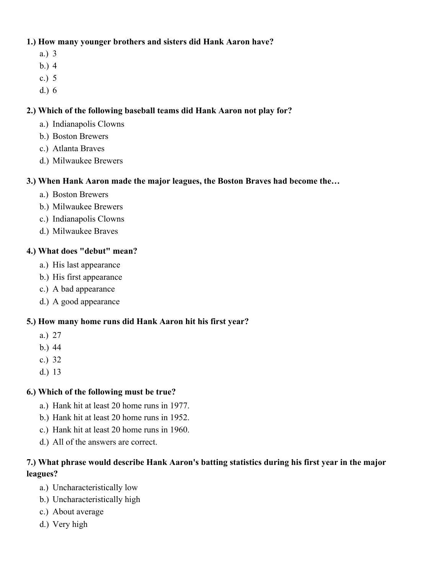## **1.) How many younger brothers and sisters did Hank Aaron have?**

- a.) 3
- b.) 4
- c.) 5
- d.) 6

# **2.) Which of the following baseball teams did Hank Aaron not play for?**

- a.) Indianapolis Clowns
- b.) Boston Brewers
- c.) Atlanta Braves
- d.) Milwaukee Brewers

# **3.) When Hank Aaron made the major leagues, the Boston Braves had become the…**

- a.) Boston Brewers
- b.) Milwaukee Brewers
- c.) Indianapolis Clowns
- d.) Milwaukee Braves

# **4.) What does "debut" mean?**

- a.) His last appearance
- b.) His first appearance
- c.) A bad appearance
- d.) A good appearance

## **5.) How many home runs did Hank Aaron hit his first year?**

- a.) 27
- b.) 44
- c.) 32
- d.) 13

# **6.) Which of the following must be true?**

- a.) Hank hit at least 20 home runs in 1977.
- b.) Hank hit at least 20 home runs in 1952.
- c.) Hank hit at least 20 home runs in 1960.
- d.) All of the answers are correct.

# **7.) What phrase would describe Hank Aaron's batting statistics during his first year in the major leagues?**

- a.) Uncharacteristically low
- b.) Uncharacteristically high
- c.) About average
- d.) Very high